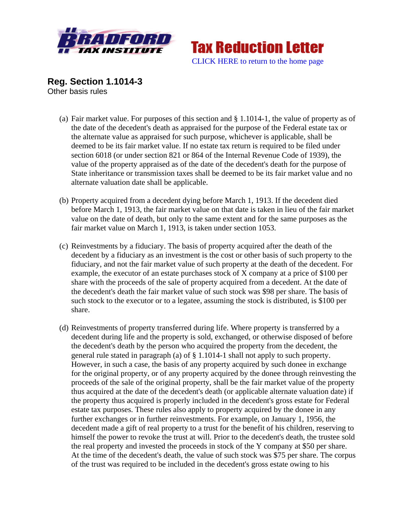



**Reg. Section 1.1014-3**  Other basis rules

- (a) Fair market value. For purposes of this section and § 1.1014-1, the value of property as of the date of the decedent's death as appraised for the purpose of the Federal estate tax or the alternate value as appraised for such purpose, whichever is applicable, shall be deemed to be its fair market value. If no estate tax return is required to be filed under section 6018 (or under section 821 or 864 of the Internal Revenue Code of 1939), the value of the property appraised as of the date of the decedent's death for the purpose of State inheritance or transmission taxes shall be deemed to be its fair market value and no alternate valuation date shall be applicable.
- (b) Property acquired from a decedent dying before March 1, 1913. If the decedent died before March 1, 1913, the fair market value on that date is taken in lieu of the fair market value on the date of death, but only to the same extent and for the same purposes as the fair market value on March 1, 1913, is taken under section 1053.
- (c) Reinvestments by a fiduciary. The basis of property acquired after the death of the decedent by a fiduciary as an investment is the cost or other basis of such property to the fiduciary, and not the fair market value of such property at the death of the decedent. For example, the executor of an estate purchases stock of X company at a price of \$100 per share with the proceeds of the sale of property acquired from a decedent. At the date of the decedent's death the fair market value of such stock was \$98 per share. The basis of such stock to the executor or to a legatee, assuming the stock is distributed, is \$100 per share.
- (d) Reinvestments of property transferred during life. Where property is transferred by a decedent during life and the property is sold, exchanged, or otherwise disposed of before the decedent's death by the person who acquired the property from the decedent, the general rule stated in paragraph (a) of § 1.1014-1 shall not apply to such property. However, in such a case, the basis of any property acquired by such donee in exchange for the original property, or of any property acquired by the donee through reinvesting the proceeds of the sale of the original property, shall be the fair market value of the property thus acquired at the date of the decedent's death (or applicable alternate valuation date) if the property thus acquired is properly included in the decedent's gross estate for Federal estate tax purposes. These rules also apply to property acquired by the donee in any further exchanges or in further reinvestments. For example, on January 1, 1956, the decedent made a gift of real property to a trust for the benefit of his children, reserving to himself the power to revoke the trust at will. Prior to the decedent's death, the trustee sold the real property and invested the proceeds in stock of the Y company at \$50 per share. At the time of the decedent's death, the value of such stock was \$75 per share. The corpus of the trust was required to be included in the decedent's gross estate owing to his